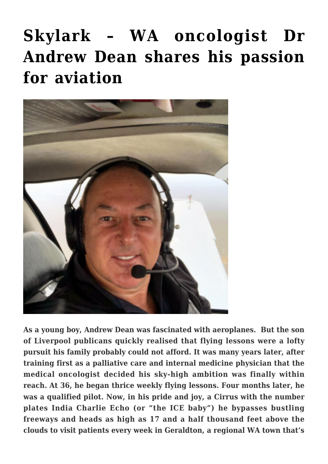# **[Skylark – WA oncologist Dr](https://stabiopharma.com/skylark-wa-oncologist-andrew-dean-shares-his-passion-for-aviation/) [Andrew Dean shares his passion](https://stabiopharma.com/skylark-wa-oncologist-andrew-dean-shares-his-passion-for-aviation/) [for aviation](https://stabiopharma.com/skylark-wa-oncologist-andrew-dean-shares-his-passion-for-aviation/)**



**As a young boy, Andrew Dean was fascinated with aeroplanes. But the son of Liverpool publicans quickly realised that flying lessons were a lofty pursuit his family probably could not afford. It was many years later, after training first as a palliative care and internal medicine physician that the medical oncologist decided his sky-high ambition was finally within reach. At 36, he began thrice weekly flying lessons. Four months later, he was a qualified pilot. Now, in his pride and joy, a Cirrus with the number plates India Charlie Echo (or "the ICE baby") he bypasses bustling freeways and heads as high as 17 and a half thousand feet above the clouds to visit patients every week in Geraldton, a regional WA town that's**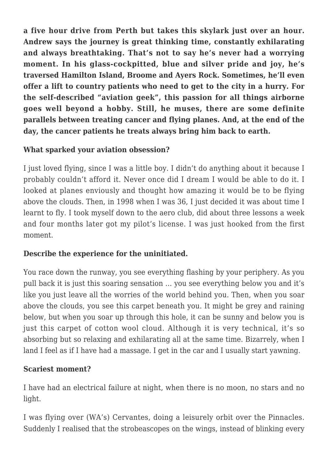**a five hour drive from Perth but takes this skylark just over an hour. Andrew says the journey is great thinking time, constantly exhilarating and always breathtaking. That's not to say he's never had a worrying moment. In his glass-cockpitted, blue and silver pride and joy, he's traversed Hamilton Island, Broome and Ayers Rock. Sometimes, he'll even offer a lift to country patients who need to get to the city in a hurry. For the self-described "aviation geek", this passion for all things airborne goes well beyond a hobby. Still, he muses, there are some definite parallels between treating cancer and flying planes. And, at the end of the day, the cancer patients he treats always bring him back to earth.**

### **What sparked your aviation obsession?**

I just loved flying, since I was a little boy. I didn't do anything about it because I probably couldn't afford it. Never once did I dream I would be able to do it. I looked at planes enviously and thought how amazing it would be to be flying above the clouds. Then, in 1998 when I was 36, I just decided it was about time I learnt to fly. I took myself down to the aero club, did about three lessons a week and four months later got my pilot's license. I was just hooked from the first moment.

## **Describe the experience for the uninitiated.**

You race down the runway, you see everything flashing by your periphery. As you pull back it is just this soaring sensation … you see everything below you and it's like you just leave all the worries of the world behind you. Then, when you soar above the clouds, you see this carpet beneath you. It might be grey and raining below, but when you soar up through this hole, it can be sunny and below you is just this carpet of cotton wool cloud. Although it is very technical, it's so absorbing but so relaxing and exhilarating all at the same time. Bizarrely, when I land I feel as if I have had a massage. I get in the car and I usually start yawning.

### **Scariest moment?**

I have had an electrical failure at night, when there is no moon, no stars and no light.

I was flying over (WA's) Cervantes, doing a leisurely orbit over the Pinnacles. Suddenly I realised that the strobeascopes on the wings, instead of blinking every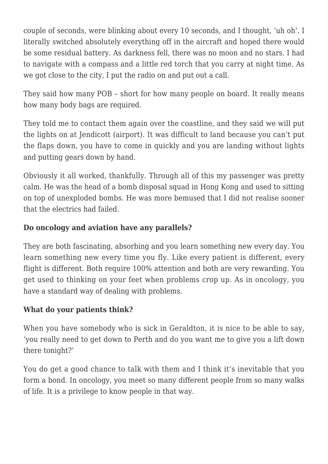couple of seconds, were blinking about every 10 seconds, and I thought, 'uh oh'. I literally switched absolutely everything off in the aircraft and hoped there would be some residual battery. As darkness fell, there was no moon and no stars. I had to navigate with a compass and a little red torch that you carry at night time. As we got close to the city, I put the radio on and put out a call.

They said how many POB – short for how many people on board. It really means how many body bags are required.

They told me to contact them again over the coastline, and they said we will put the lights on at Jendicott (airport). It was difficult to land because you can't put the flaps down, you have to come in quickly and you are landing without lights and putting gears down by hand.

Obviously it all worked, thankfully. Through all of this my passenger was pretty calm. He was the head of a bomb disposal squad in Hong Kong and used to sitting on top of unexploded bombs. He was more bemused that I did not realise sooner that the electrics had failed.

#### **Do oncology and aviation have any parallels?**

They are both fascinating, absorbing and you learn something new every day. You learn something new every time you fly. Like every patient is different, every flight is different. Both require 100% attention and both are very rewarding. You get used to thinking on your feet when problems crop up. As in oncology, you have a standard way of dealing with problems.

#### **What do your patients think?**

When you have somebody who is sick in Geraldton, it is nice to be able to say, 'you really need to get down to Perth and do you want me to give you a lift down there tonight?'

You do get a good chance to talk with them and I think it's inevitable that you form a bond. In oncology, you meet so many different people from so many walks of life. It is a privilege to know people in that way.